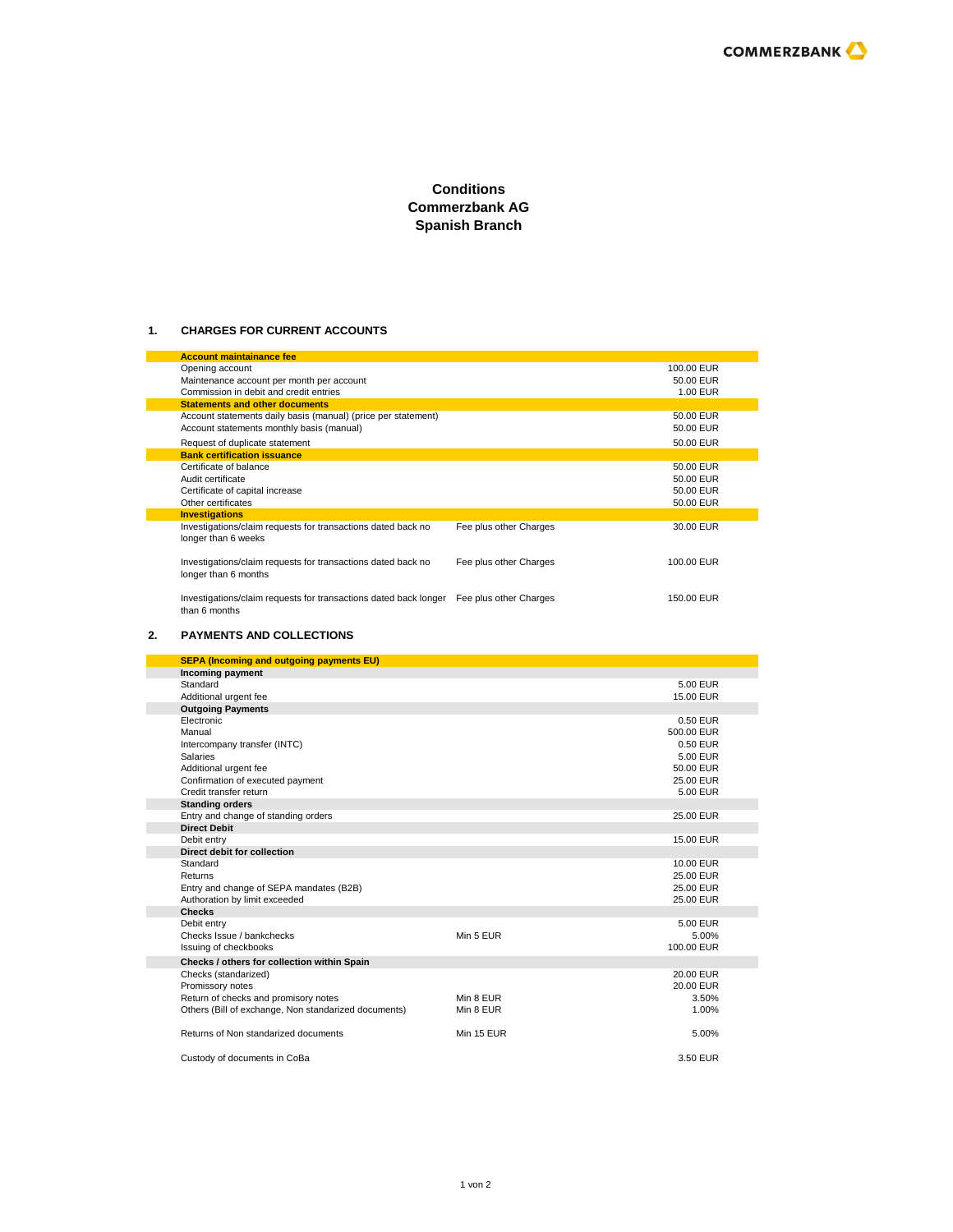# **Conditions Commerzbank AG Spanish Branch**

### **1. CHARGES FOR CURRENT ACCOUNTS**

| <b>Account maintainance fee</b>                                                      |                        |            |
|--------------------------------------------------------------------------------------|------------------------|------------|
| Opening account                                                                      |                        | 100.00 EUR |
| Maintenance account per month per account                                            |                        | 50.00 EUR  |
| Commission in debit and credit entries                                               |                        | 1.00 EUR   |
| <b>Statements and other documents</b>                                                |                        |            |
| Account statements daily basis (manual) (price per statement)                        |                        | 50.00 EUR  |
| Account statements monthly basis (manual)                                            |                        | 50.00 EUR  |
| Request of duplicate statement                                                       |                        | 50.00 EUR  |
| <b>Bank certification issuance</b>                                                   |                        |            |
| Certificate of balance                                                               |                        | 50.00 EUR  |
| Audit certificate                                                                    |                        | 50.00 EUR  |
| Certificate of capital increase                                                      |                        | 50.00 EUR  |
| Other certificates                                                                   |                        | 50.00 EUR  |
| <b>Investigations</b>                                                                |                        |            |
| Investigations/claim requests for transactions dated back no<br>longer than 6 weeks  | Fee plus other Charges | 30.00 EUR  |
| Investigations/claim requests for transactions dated back no<br>longer than 6 months | Fee plus other Charges | 100.00 EUR |
| Investigations/claim requests for transactions dated back longer<br>than 6 months    | Fee plus other Charges | 150.00 EUR |

#### **2. PAYMENTS AND COLLECTIONS**

| <b>SEPA (Incoming and outgoing payments EU)</b>      |            |            |
|------------------------------------------------------|------------|------------|
| <b>Incoming payment</b>                              |            |            |
| Standard                                             |            | 5.00 EUR   |
| Additional urgent fee                                |            | 15.00 EUR  |
| <b>Outgoing Payments</b>                             |            |            |
| Electronic                                           |            | 0.50 EUR   |
| Manual                                               |            | 500.00 EUR |
| Intercompany transfer (INTC)                         |            | 0.50 EUR   |
| <b>Salaries</b>                                      |            | 5.00 EUR   |
| Additional urgent fee                                |            | 50.00 EUR  |
| Confirmation of executed payment                     |            | 25.00 EUR  |
| Credit transfer return                               |            | 5.00 EUR   |
| <b>Standing orders</b>                               |            |            |
| Entry and change of standing orders                  |            | 25.00 EUR  |
| <b>Direct Debit</b>                                  |            |            |
| Debit entry                                          |            | 15.00 EUR  |
| Direct debit for collection                          |            |            |
| Standard                                             |            | 10.00 EUR  |
| Returns                                              |            | 25.00 EUR  |
| Entry and change of SEPA mandates (B2B)              |            | 25.00 EUR  |
| Authoration by limit exceeded                        |            | 25.00 EUR  |
| <b>Checks</b>                                        |            |            |
| Debit entry                                          |            | 5.00 EUR   |
| Checks Issue / bankchecks                            | Min 5 EUR  | 5.00%      |
| Issuing of checkbooks                                |            | 100.00 EUR |
| Checks / others for collection within Spain          |            |            |
| Checks (standarized)                                 |            | 20.00 EUR  |
| Promissory notes                                     |            | 20.00 EUR  |
| Return of checks and promisory notes                 | Min 8 EUR  | 3.50%      |
| Others (Bill of exchange, Non standarized documents) | Min 8 EUR  | 1.00%      |
|                                                      |            |            |
| Returns of Non standarized documents                 | Min 15 EUR | 5.00%      |
|                                                      |            |            |
| Custody of documents in CoBa                         |            | 3.50 EUR   |